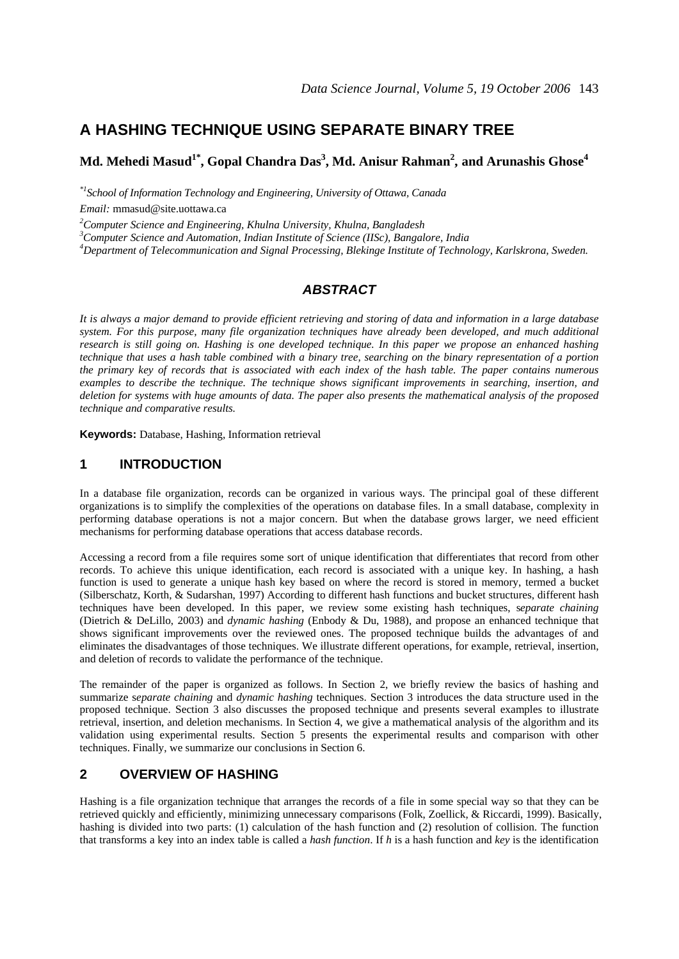# **A HASHING TECHNIQUE USING SEPARATE BINARY TREE**

# **Md. Mehedi Masud1\*, Gopal Chandra Das3 , Md. Anisur Rahman2 , and Arunashis Ghose<sup>4</sup>**

*\*1School of Information Technology and Engineering, University of Ottawa, Canada* 

*Email:* mmasud@site.uottawa.ca *2*

*Computer Science and Engineering, Khulna University, Khulna, Bangladesh* 

*3 Computer Science and Automation, Indian Institute of Science (IISc), Bangalore, India* 

*4 Department of Telecommunication and Signal Processing, Blekinge Institute of Technology, Karlskrona, Sweden.* 

## *ABSTRACT*

*It is always a major demand to provide efficient retrieving and storing of data and information in a large database system. For this purpose, many file organization techniques have already been developed, and much additional research is still going on. Hashing is one developed technique. In this paper we propose an enhanced hashing technique that uses a hash table combined with a binary tree, searching on the binary representation of a portion the primary key of records that is associated with each index of the hash table. The paper contains numerous examples to describe the technique. The technique shows significant improvements in searching, insertion, and deletion for systems with huge amounts of data. The paper also presents the mathematical analysis of the proposed technique and comparative results.* 

**Keywords:** Database, Hashing, Information retrieval

#### **1 INTRODUCTION**

In a database file organization, records can be organized in various ways. The principal goal of these different organizations is to simplify the complexities of the operations on database files. In a small database, complexity in performing database operations is not a major concern. But when the database grows larger, we need efficient mechanisms for performing database operations that access database records.

Accessing a record from a file requires some sort of unique identification that differentiates that record from other records. To achieve this unique identification, each record is associated with a unique key. In hashing, a hash function is used to generate a unique hash key based on where the record is stored in memory, termed a bucket (Silberschatz, Korth, & Sudarshan, 1997) According to different hash functions and bucket structures, different hash techniques have been developed. In this paper, we review some existing hash techniques, s*eparate chaining*  (Dietrich & DeLillo, 2003) and *dynamic hashing* (Enbody & Du, 1988), and propose an enhanced technique that shows significant improvements over the reviewed ones. The proposed technique builds the advantages of and eliminates the disadvantages of those techniques. We illustrate different operations, for example, retrieval, insertion, and deletion of records to validate the performance of the technique.

The remainder of the paper is organized as follows. In Section 2, we briefly review the basics of hashing and summarize s*eparate chaining* and *dynamic hashing* techniques. Section 3 introduces the data structure used in the proposed technique. Section 3 also discusses the proposed technique and presents several examples to illustrate retrieval, insertion, and deletion mechanisms. In Section 4, we give a mathematical analysis of the algorithm and its validation using experimental results. Section 5 presents the experimental results and comparison with other techniques. Finally, we summarize our conclusions in Section 6.

## **2 OVERVIEW OF HASHING**

Hashing is a file organization technique that arranges the records of a file in some special way so that they can be retrieved quickly and efficiently, minimizing unnecessary comparisons (Folk, Zoellick, & Riccardi, 1999). Basically, hashing is divided into two parts: (1) calculation of the hash function and (2) resolution of collision. The function that transforms a key into an index table is called a *hash function*. If *h* is a hash function and *key* is the identification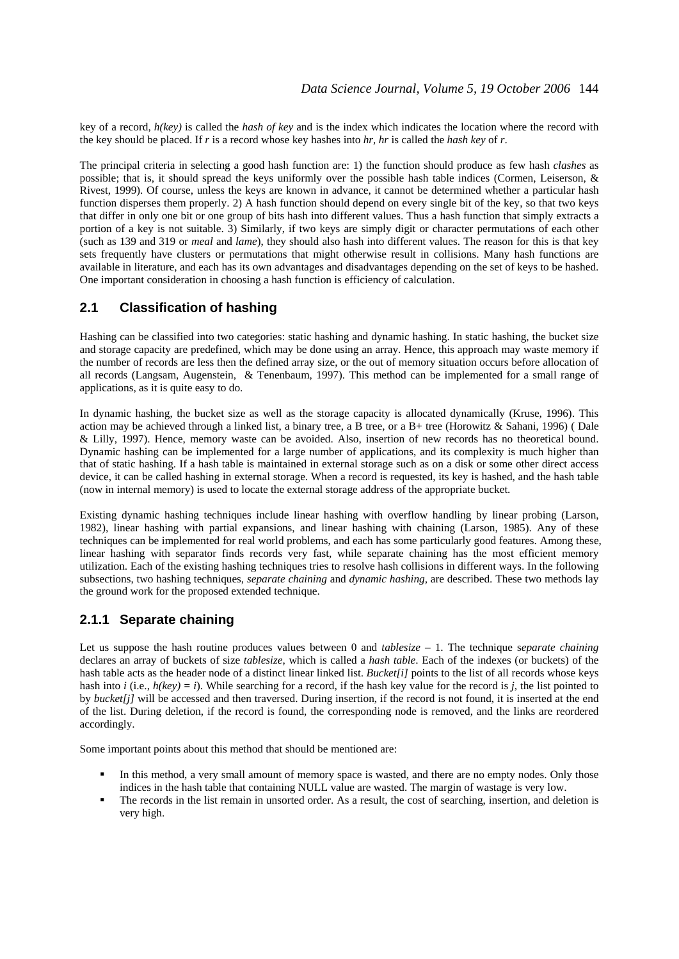key of a record, *h(key)* is called the *hash of key* and is the index which indicates the location where the record with the key should be placed. If *r* is a record whose key hashes into *hr, hr* is called the *hash key* of *r*.

The principal criteria in selecting a good hash function are: 1) the function should produce as few hash *clashes* as possible; that is, it should spread the keys uniformly over the possible hash table indices (Cormen, Leiserson, & Rivest, 1999). Of course, unless the keys are known in advance, it cannot be determined whether a particular hash function disperses them properly. 2) A hash function should depend on every single bit of the key, so that two keys that differ in only one bit or one group of bits hash into different values. Thus a hash function that simply extracts a portion of a key is not suitable. 3) Similarly, if two keys are simply digit or character permutations of each other (such as 139 and 319 or *meal* and *lame*), they should also hash into different values. The reason for this is that key sets frequently have clusters or permutations that might otherwise result in collisions. Many hash functions are available in literature, and each has its own advantages and disadvantages depending on the set of keys to be hashed. One important consideration in choosing a hash function is efficiency of calculation.

# **2.1 Classification of hashing**

Hashing can be classified into two categories: static hashing and dynamic hashing. In static hashing, the bucket size and storage capacity are predefined, which may be done using an array. Hence, this approach may waste memory if the number of records are less then the defined array size, or the out of memory situation occurs before allocation of all records (Langsam, Augenstein, & Tenenbaum, 1997). This method can be implemented for a small range of applications, as it is quite easy to do.

In dynamic hashing, the bucket size as well as the storage capacity is allocated dynamically (Kruse, 1996). This action may be achieved through a linked list, a binary tree, a B tree, or a B+ tree (Horowitz & Sahani, 1996) (Dale & Lilly, 1997). Hence, memory waste can be avoided. Also, insertion of new records has no theoretical bound. Dynamic hashing can be implemented for a large number of applications, and its complexity is much higher than that of static hashing. If a hash table is maintained in external storage such as on a disk or some other direct access device, it can be called hashing in external storage. When a record is requested, its key is hashed, and the hash table (now in internal memory) is used to locate the external storage address of the appropriate bucket.

Existing dynamic hashing techniques include linear hashing with overflow handling by linear probing (Larson, 1982), linear hashing with partial expansions, and linear hashing with chaining (Larson, 1985). Any of these techniques can be implemented for real world problems, and each has some particularly good features. Among these, linear hashing with separator finds records very fast, while separate chaining has the most efficient memory utilization. Each of the existing hashing techniques tries to resolve hash collisions in different ways. In the following subsections, two hashing techniques, *separate chaining* and *dynamic hashing,* are described. These two methods lay the ground work for the proposed extended technique.

# **2.1.1 Separate chaining**

Let us suppose the hash routine produces values between 0 and *tablesize* – 1. The technique s*eparate chaining* declares an array of buckets of size *tablesize*, which is called a *hash table*. Each of the indexes (or buckets) of the hash table acts as the header node of a distinct linear linked list. *Bucket[i]* points to the list of all records whose keys hash into *i* (i.e.,  $h(key) = i$ ). While searching for a record, if the hash key value for the record is *j*, the list pointed to by *bucket[j]* will be accessed and then traversed. During insertion, if the record is not found, it is inserted at the end of the list. During deletion, if the record is found, the corresponding node is removed, and the links are reordered accordingly.

Some important points about this method that should be mentioned are:

- In this method, a very small amount of memory space is wasted, and there are no empty nodes. Only those indices in the hash table that containing NULL value are wasted. The margin of wastage is very low.
- The records in the list remain in unsorted order. As a result, the cost of searching, insertion, and deletion is very high.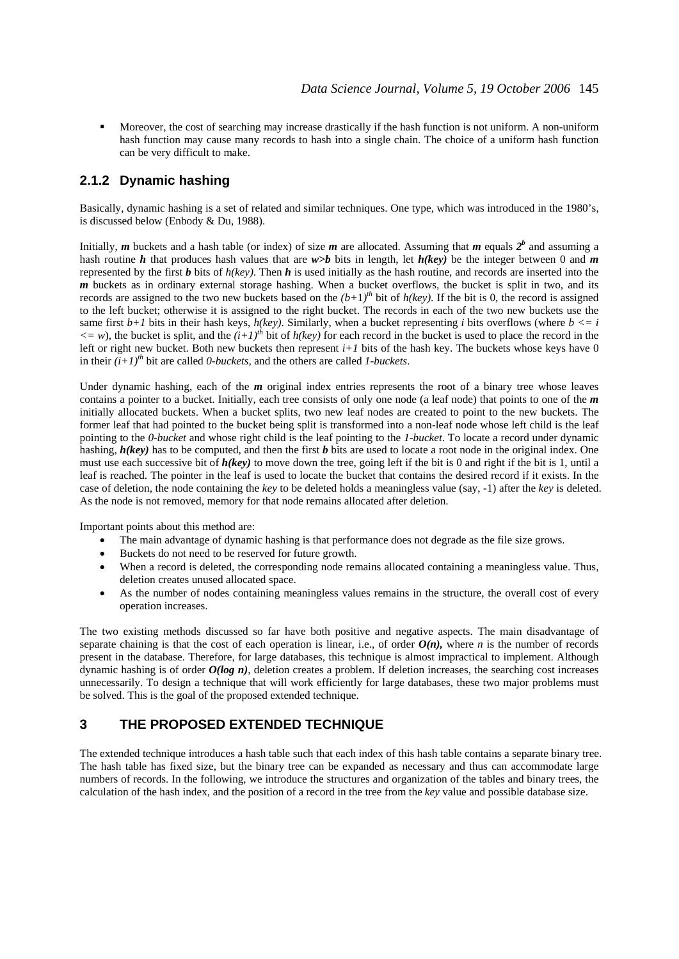Moreover, the cost of searching may increase drastically if the hash function is not uniform. A non-uniform hash function may cause many records to hash into a single chain. The choice of a uniform hash function can be very difficult to make.

# **2.1.2 Dynamic hashing**

Basically, dynamic hashing is a set of related and similar techniques. One type, which was introduced in the 1980's, is discussed below (Enbody & Du, 1988).

Initially, *m* buckets and a hash table (or index) of size *m* are allocated. Assuming that *m* equals  $2^b$  and assuming a hash routine *h* that produces hash values that are *w>b* bits in length, let *h(key)* be the integer between 0 and *m* represented by the first *b* bits of *h(key)*. Then *h* is used initially as the hash routine, and records are inserted into the *m* buckets as in ordinary external storage hashing. When a bucket overflows, the bucket is split in two, and its records are assigned to the two new buckets based on the  $(b+1)^{th}$  bit of  $h(key)$ . If the bit is 0, the record is assigned to the left bucket; otherwise it is assigned to the right bucket. The records in each of the two new buckets use the same first  $b+1$  bits in their hash keys,  $h(key)$ . Similarly, when a bucket representing *i* bits overflows (where  $b \leq i$  $\langle \xi = w \rangle$ , the bucket is split, and the  $(i+1)^{th}$  bit of  $h(key)$  for each record in the bucket is used to place the record in the left or right new bucket. Both new buckets then represent  $i+1$  bits of the hash key. The buckets whose keys have 0 in their  $(i+1)^{th}$  bit are called *0-buckets*, and the others are called *1-buckets*.

Under dynamic hashing, each of the *m* original index entries represents the root of a binary tree whose leaves contains a pointer to a bucket. Initially, each tree consists of only one node (a leaf node) that points to one of the *m* initially allocated buckets. When a bucket splits, two new leaf nodes are created to point to the new buckets. The former leaf that had pointed to the bucket being split is transformed into a non-leaf node whose left child is the leaf pointing to the *0-bucket* and whose right child is the leaf pointing to the *1-bucket*. To locate a record under dynamic hashing, *h(key)* has to be computed, and then the first *b* bits are used to locate a root node in the original index. One must use each successive bit of *h(key)* to move down the tree, going left if the bit is 0 and right if the bit is 1, until a leaf is reached. The pointer in the leaf is used to locate the bucket that contains the desired record if it exists. In the case of deletion, the node containing the *key* to be deleted holds a meaningless value (say, -1) after the *key* is deleted. As the node is not removed, memory for that node remains allocated after deletion.

Important points about this method are:

- The main advantage of dynamic hashing is that performance does not degrade as the file size grows.
- Buckets do not need to be reserved for future growth.
- When a record is deleted, the corresponding node remains allocated containing a meaningless value. Thus, deletion creates unused allocated space.
- As the number of nodes containing meaningless values remains in the structure, the overall cost of every operation increases.

The two existing methods discussed so far have both positive and negative aspects. The main disadvantage of separate chaining is that the cost of each operation is linear, i.e., of order  $O(n)$ , where *n* is the number of records present in the database. Therefore, for large databases, this technique is almost impractical to implement. Although dynamic hashing is of order  $O(log n)$ , deletion creates a problem. If deletion increases, the searching cost increases unnecessarily. To design a technique that will work efficiently for large databases, these two major problems must be solved. This is the goal of the proposed extended technique.

# **3 THE PROPOSED EXTENDED TECHNIQUE**

The extended technique introduces a hash table such that each index of this hash table contains a separate binary tree. The hash table has fixed size, but the binary tree can be expanded as necessary and thus can accommodate large numbers of records. In the following, we introduce the structures and organization of the tables and binary trees, the calculation of the hash index, and the position of a record in the tree from the *key* value and possible database size.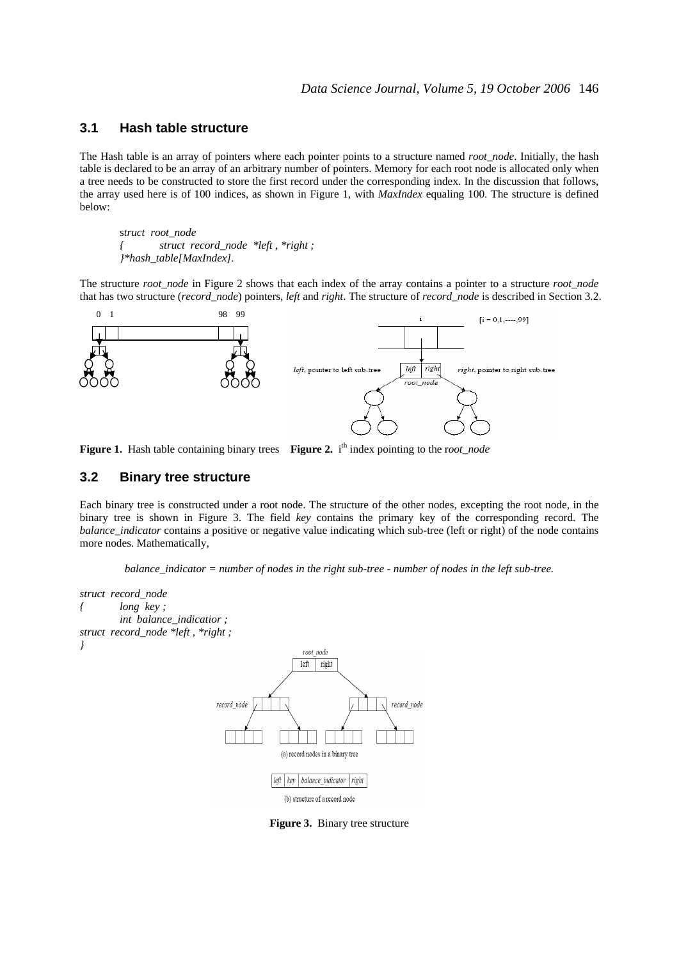#### **3.1 Hash table structure**

The Hash table is an array of pointers where each pointer points to a structure named *root node*. Initially, the hash table is declared to be an array of an arbitrary number of pointers. Memory for each root node is allocated only when a tree needs to be constructed to store the first record under the corresponding index. In the discussion that follows, the array used here is of 100 indices, as shown in Figure 1, with *MaxIndex* equaling 100. The structure is defined below:

 s*truct root\_node { struct record\_node \*left , \*right ; }\*hash\_table[MaxIndex].*

The structure *root node* in Figure 2 shows that each index of the array contains a pointer to a structure *root node* that has two structure (*record\_node*) pointers, *left* and *right*. The structure of *record\_node* is described in Section 3.2.



**Figure 1.** Hash table containing binary trees **Figure 2.** i<sup>th</sup> index pointing to the root\_node

#### **3.2 Binary tree structure**

Each binary tree is constructed under a root node. The structure of the other nodes, excepting the root node, in the binary tree is shown in Figure 3. The field *key* contains the primary key of the corresponding record. The *balance indicator* contains a positive or negative value indicating which sub-tree (left or right) of the node contains more nodes. Mathematically,

*balance\_indicator = number of nodes in the right sub-tree - number of nodes in the left sub-tree.* 



**Figure 3.** Binary tree structure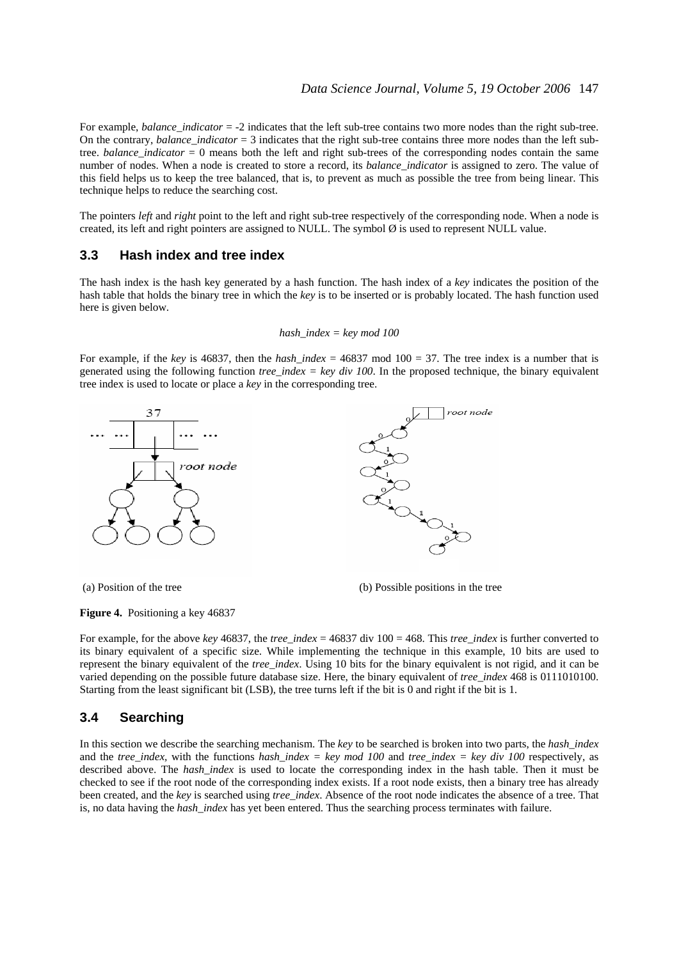For example, *balance\_indicator* = -2 indicates that the left sub-tree contains two more nodes than the right sub-tree. On the contrary, *balance\_indicator* = 3 indicates that the right sub-tree contains three more nodes than the left subtree. *balance\_indicator* = 0 means both the left and right sub-trees of the corresponding nodes contain the same number of nodes. When a node is created to store a record, its *balance\_indicator* is assigned to zero. The value of this field helps us to keep the tree balanced, that is, to prevent as much as possible the tree from being linear. This technique helps to reduce the searching cost.

The pointers *left* and *right* point to the left and right sub-tree respectively of the corresponding node. When a node is created, its left and right pointers are assigned to NULL. The symbol  $\emptyset$  is used to represent NULL value.

## **3.3 Hash index and tree index**

The hash index is the hash key generated by a hash function. The hash index of a *key* indicates the position of the hash table that holds the binary tree in which the *key* is to be inserted or is probably located. The hash function used here is given below.

#### *hash\_index = key mod 100*

For example, if the *key* is 46837, then the *hash* index = 46837 mod 100 = 37. The tree index is a number that is generated using the following function *tree* index = key div 100. In the proposed technique, the binary equivalent tree index is used to locate or place a *key* in the corresponding tree.



(a) Position of the tree (b) Possible positions in the tree

**Figure 4.** Positioning a key 46837

For example, for the above *key* 46837, the *tree\_index* = 46837 div 100 = 468. This *tree\_index* is further converted to its binary equivalent of a specific size. While implementing the technique in this example, 10 bits are used to represent the binary equivalent of the *tree\_index*. Using 10 bits for the binary equivalent is not rigid, and it can be varied depending on the possible future database size. Here, the binary equivalent of *tree\_index* 468 is 0111010100. Starting from the least significant bit (LSB), the tree turns left if the bit is 0 and right if the bit is 1.

## **3.4 Searching**

In this section we describe the searching mechanism. The *key* to be searched is broken into two parts, the *hash\_index*  and the *tree index,* with the functions *hash index = key mod 100* and *tree index = key div 100* respectively, as described above. The *hash* index is used to locate the corresponding index in the hash table. Then it must be checked to see if the root node of the corresponding index exists. If a root node exists, then a binary tree has already been created, and the *key* is searched using *tree\_index*. Absence of the root node indicates the absence of a tree. That is, no data having the *hash\_index* has yet been entered. Thus the searching process terminates with failure.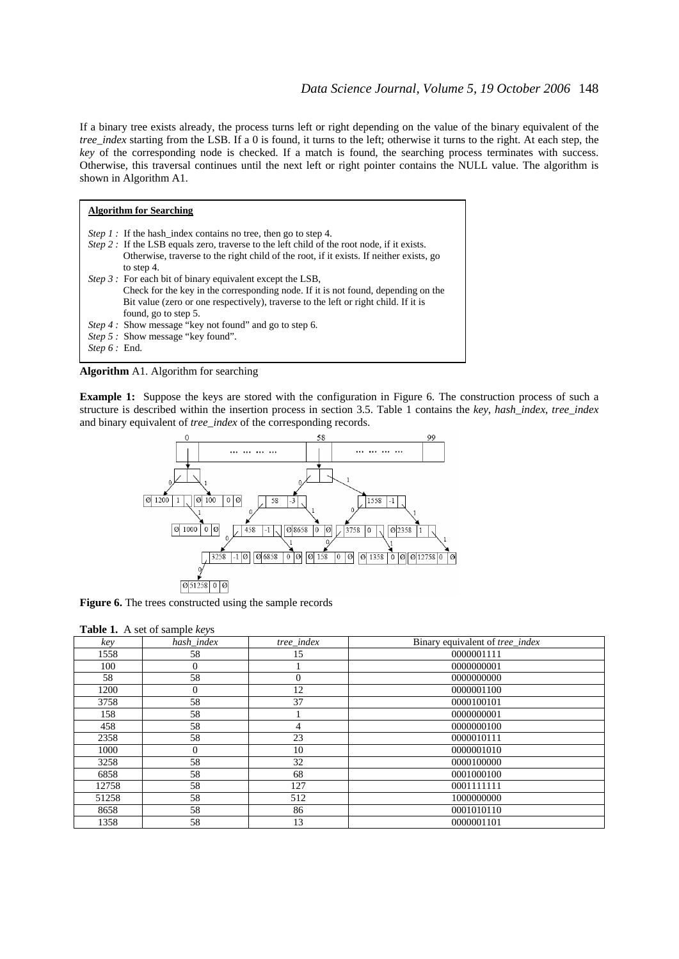If a binary tree exists already, the process turns left or right depending on the value of the binary equivalent of the *tree\_index* starting from the LSB. If a 0 is found, it turns to the left; otherwise it turns to the right. At each step, the *key* of the corresponding node is checked. If a match is found, the searching process terminates with success. Otherwise, this traversal continues until the next left or right pointer contains the NULL value. The algorithm is shown in Algorithm A1.

| <b>Algorithm for Searching</b>                                                                        |
|-------------------------------------------------------------------------------------------------------|
| <i>Step 1</i> : If the hash index contains no tree, then go to step 4.                                |
| <i>Step 2</i> : If the LSB equals zero, traverse to the left child of the root node, if it exists.    |
| Otherwise, traverse to the right child of the root, if it exists. If neither exists, go<br>to step 4. |
| <i>Step 3</i> : For each bit of binary equivalent except the LSB,                                     |
| Check for the key in the corresponding node. If it is not found, depending on the                     |
| Bit value (zero or one respectively), traverse to the left or right child. If it is                   |
| found, go to step 5.                                                                                  |
| Step 4: Show message "key not found" and go to step 6.                                                |
| <i>Step 5</i> : Show message "key found".                                                             |
| <i>Step 6</i> : End.                                                                                  |

**Algorithm** A1. Algorithm for searching

**Example 1:** Suppose the keys are stored with the configuration in Figure 6. The construction process of such a structure is described within the insertion process in section 3.5. Table 1 contains the *key*, *hash\_index*, *tree\_index* and binary equivalent of *tree\_index* of the corresponding records.



**Figure 6.** The trees constructed using the sample records

|  |  | Table 1. A set of sample keys |
|--|--|-------------------------------|
|--|--|-------------------------------|

| kev   | hash index | tree_index | Binary equivalent of <i>tree_index</i> |
|-------|------------|------------|----------------------------------------|
| 1558  | 58         | 15         | 0000001111                             |
| 100   | 0          |            | 0000000001                             |
| 58    | 58         | $\Omega$   | 0000000000                             |
| 1200  | $\Omega$   | 12         | 0000001100                             |
| 3758  | 58         | 37         | 0000100101                             |
| 158   | 58         |            | 0000000001                             |
| 458   | 58         | 4          | 0000000100                             |
| 2358  | 58         | 23         | 0000010111                             |
| 1000  | $\Omega$   | 10         | 0000001010                             |
| 3258  | 58         | 32         | 0000100000                             |
| 6858  | 58         | 68         | 0001000100                             |
| 12758 | 58         | 127        | 0001111111                             |
| 51258 | 58         | 512        | 1000000000                             |
| 8658  | 58         | 86         | 0001010110                             |
| 1358  | 58         | 13         | 0000001101                             |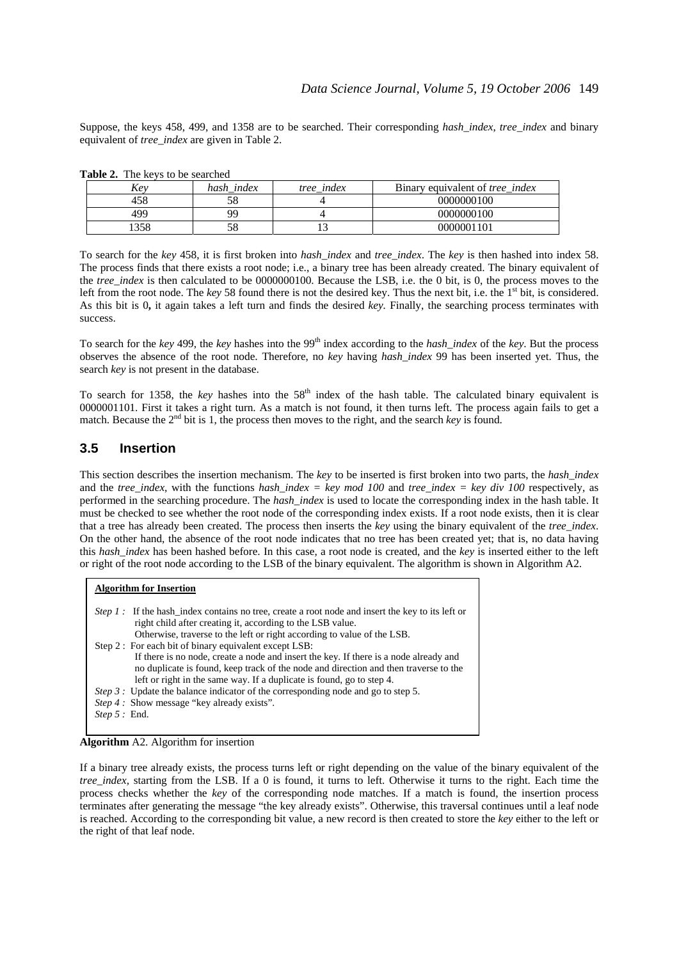Suppose, the keys 458, 499, and 1358 are to be searched. Their corresponding *hash\_index*, *tree\_index* and binary equivalent of *tree\_index* are given in Table 2.

| Kev  | hash index | tree index | Binary equivalent of <i>tree index</i> |
|------|------------|------------|----------------------------------------|
| 458  |            |            | 0000000100                             |
| 499  | QQ         |            | 0000000100                             |
| 1358 |            |            | 0000001101                             |

**Table 2.** The keys to be searched

To search for the *key* 458, it is first broken into *hash\_index* and *tree\_index*. The *key* is then hashed into index 58. The process finds that there exists a root node; i.e., a binary tree has been already created. The binary equivalent of the *tree\_index* is then calculated to be 0000000100. Because the LSB, i.e. the 0 bit, is 0, the process moves to the left from the root node. The *key* 58 found there is not the desired key. Thus the next bit, i.e. the 1<sup>st</sup> bit, is considered. As this bit is 0**,** it again takes a left turn and finds the desired *key.* Finally, the searching process terminates with success.

To search for the *key* 499, the *key* hashes into the 99<sup>th</sup> index according to the *hash index* of the *key*. But the process observes the absence of the root node. Therefore, no *key* having *hash\_index* 99 has been inserted yet. Thus, the search *key* is not present in the database.

To search for 1358, the *key* hashes into the 58<sup>th</sup> index of the hash table. The calculated binary equivalent is 0000001101. First it takes a right turn. As a match is not found, it then turns left. The process again fails to get a match. Because the 2<sup>nd</sup> bit is 1, the process then moves to the right, and the search *key* is found.

## **3.5 Insertion**

This section describes the insertion mechanism. The *key* to be inserted is first broken into two parts, the *hash\_index*  and the *tree* index, with the functions *hash\_index = key mod 100* and *tree\_index = key div 100* respectively, as performed in the searching procedure. The *hash\_index* is used to locate the corresponding index in the hash table. It must be checked to see whether the root node of the corresponding index exists. If a root node exists, then it is clear that a tree has already been created. The process then inserts the *key* using the binary equivalent of the *tree\_index*. On the other hand, the absence of the root node indicates that no tree has been created yet; that is, no data having this *hash\_index* has been hashed before. In this case, a root node is created, and the *key* is inserted either to the left or right of the root node according to the LSB of the binary equivalent. The algorithm is shown in Algorithm A2.

| <b>Algorithm for Insertion</b>                                                                                                                                                                                                                                                                                  |
|-----------------------------------------------------------------------------------------------------------------------------------------------------------------------------------------------------------------------------------------------------------------------------------------------------------------|
| <i>Step 1</i> : If the hash index contains no tree, create a root node and insert the key to its left or<br>right child after creating it, according to the LSB value.<br>Otherwise, traverse to the left or right according to value of the LSB.                                                               |
| Step 2: For each bit of binary equivalent except LSB:<br>If there is no node, create a node and insert the key. If there is a node already and<br>no duplicate is found, keep track of the node and direction and then traverse to the<br>left or right in the same way. If a duplicate is found, go to step 4. |
| <i>Step 3</i> : Update the balance indicator of the corresponding node and go to step 5.<br><i>Step 4</i> : Show message "key already exists".<br><i>Step</i> $5:$ End.                                                                                                                                         |

**Algorithm** A2. Algorithm for insertion

If a binary tree already exists, the process turns left or right depending on the value of the binary equivalent of the *tree\_index, starting from the LSB.* If a 0 is found, it turns to left. Otherwise it turns to the right. Each time the process checks whether the *key* of the corresponding node matches. If a match is found, the insertion process terminates after generating the message "the key already exists". Otherwise, this traversal continues until a leaf node is reached. According to the corresponding bit value, a new record is then created to store the *key* either to the left or the right of that leaf node.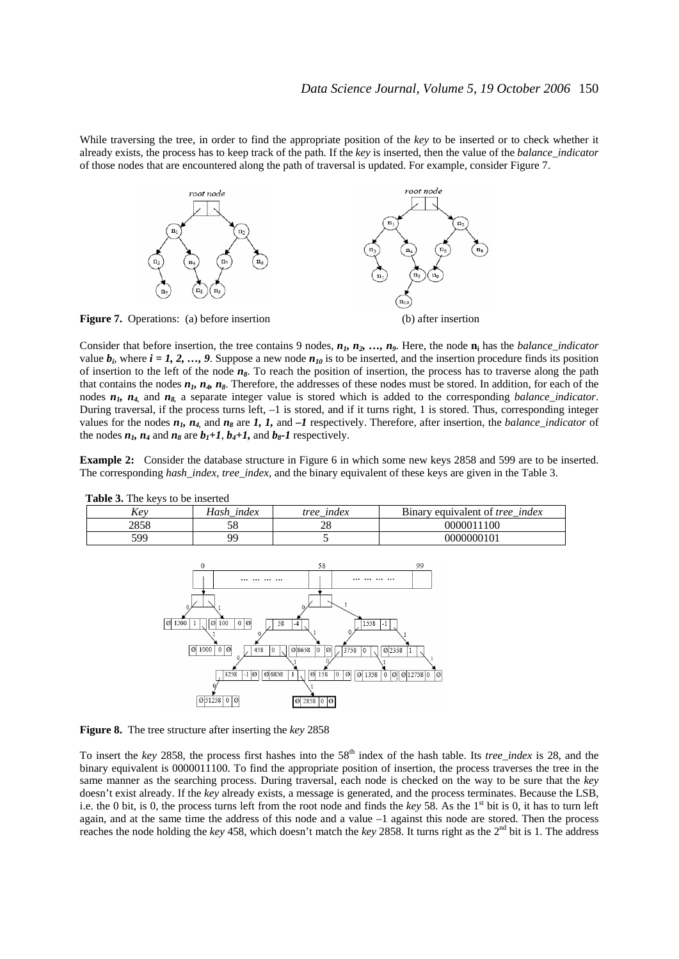While traversing the tree, in order to find the appropriate position of the *key* to be inserted or to check whether it already exists, the process has to keep track of the path. If the *key* is inserted, then the value of the *balance\_indicator* of those nodes that are encountered along the path of traversal is updated. For example, consider Figure 7.



Consider that before insertion, the tree contains 9 nodes,  $n_1$ ,  $n_2$ , ...,  $n_9$ . Here, the node  $n_i$  has the *balance\_indicator* value  $b_i$ , where  $i = 1, 2, ..., 9$ . Suppose a new node  $n_{10}$  is to be inserted, and the insertion procedure finds its position of insertion to the left of the node *n8*. To reach the position of insertion, the process has to traverse along the path that contains the nodes  $n_1$ ,  $n_4$ ,  $n_8$ . Therefore, the addresses of these nodes must be stored. In addition, for each of the nodes  $n_1$ ,  $n_4$  and  $n_8$  a separate integer value is stored which is added to the corresponding *balance\_indicator*. During traversal, if the process turns left, –1 is stored, and if it turns right, 1 is stored. Thus, corresponding integer values for the nodes *n1, n4,* and *n8* are *1, 1,* and *–1* respectively. Therefore, after insertion, the *balance\_indicator* of the nodes  $n_1$ ,  $n_4$  and  $n_8$  are  $b_1+1$ ,  $b_4+1$ , and  $b_8-1$  respectively.

**Example 2:** Consider the database structure in Figure 6 in which some new keys 2858 and 599 are to be inserted. The corresponding *hash index, tree index*, and the binary equivalent of these keys are given in the Table 3.

| <b>Table 3.</b> The keys to be inserted |            |                   |                                        |  |  |
|-----------------------------------------|------------|-------------------|----------------------------------------|--|--|
| Kev                                     | Hash index | <i>tree index</i> | Binary equivalent of <i>tree</i> index |  |  |
| 2858                                    |            |                   | 0000011100                             |  |  |
| 599                                     | Q۵         |                   | 0000000101                             |  |  |





**Figure 8.** The tree structure after inserting the *key* 2858

To insert the *key* 2858, the process first hashes into the 58<sup>th</sup> index of the hash table. Its *tree index* is 28, and the binary equivalent is 0000011100. To find the appropriate position of insertion, the process traverses the tree in the same manner as the searching process. During traversal, each node is checked on the way to be sure that the *key* doesn't exist already. If the *key* already exists, a message is generated, and the process terminates. Because the LSB, i.e. the 0 bit, is 0, the process turns left from the root node and finds the *key* 58. As the 1<sup>st</sup> bit is 0, it has to turn left again, and at the same time the address of this node and a value  $-1$  against this node are stored. Then the process reaches the node holding the *key* 458, which doesn't match the *key* 2858. It turns right as the 2nd bit is 1. The address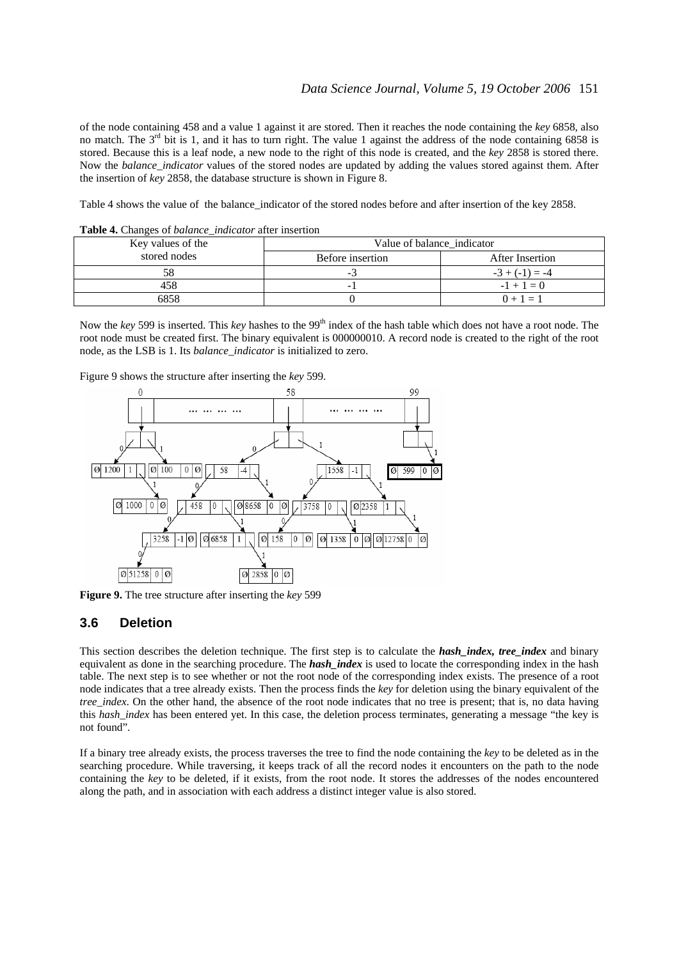of the node containing 458 and a value 1 against it are stored. Then it reaches the node containing the *key* 6858, also no match. The  $3^{rd}$  bit is 1, and it has to turn right. The value 1 against the address of the node containing 6858 is stored. Because this is a leaf node, a new node to the right of this node is created, and the *key* 2858 is stored there. Now the *balance\_indicator* values of the stored nodes are updated by adding the values stored against them. After the insertion of *key* 2858, the database structure is shown in Figure 8.

Table 4 shows the value of the balance indicator of the stored nodes before and after insertion of the key 2858.

| $-$ which is climated of <i>contented</i> properties. Where index with |                            |                  |  |  |
|------------------------------------------------------------------------|----------------------------|------------------|--|--|
| Key values of the                                                      | Value of balance_indicator |                  |  |  |
| stored nodes                                                           | Before insertion           | After Insertion  |  |  |
|                                                                        |                            | $-3 + (-1) = -4$ |  |  |
|                                                                        |                            | $-1 + 1 = 0$     |  |  |
| 6858                                                                   |                            | $0 + 1 = 1$      |  |  |

**Table 4.** Changes of *balance\_indicator* after insertion

Now the *key* 599 is inserted. This *key* hashes to the 99<sup>th</sup> index of the hash table which does not have a root node. The root node must be created first. The binary equivalent is 000000010. A record node is created to the right of the root node, as the LSB is 1. Its *balance\_indicator* is initialized to zero.



Figure 9 shows the structure after inserting the *key* 599.

**Figure 9.** The tree structure after inserting the *key* 599

## **3.6 Deletion**

This section describes the deletion technique. The first step is to calculate the *hash\_index, tree\_index* and binary equivalent as done in the searching procedure. The *hash\_index* is used to locate the corresponding index in the hash table. The next step is to see whether or not the root node of the corresponding index exists. The presence of a root node indicates that a tree already exists. Then the process finds the *key* for deletion using the binary equivalent of the *tree index*. On the other hand, the absence of the root node indicates that no tree is present; that is, no data having this *hash index* has been entered yet. In this case, the deletion process terminates, generating a message "the key is not found".

If a binary tree already exists, the process traverses the tree to find the node containing the *key* to be deleted as in the searching procedure. While traversing, it keeps track of all the record nodes it encounters on the path to the node containing the *key* to be deleted, if it exists, from the root node. It stores the addresses of the nodes encountered along the path, and in association with each address a distinct integer value is also stored.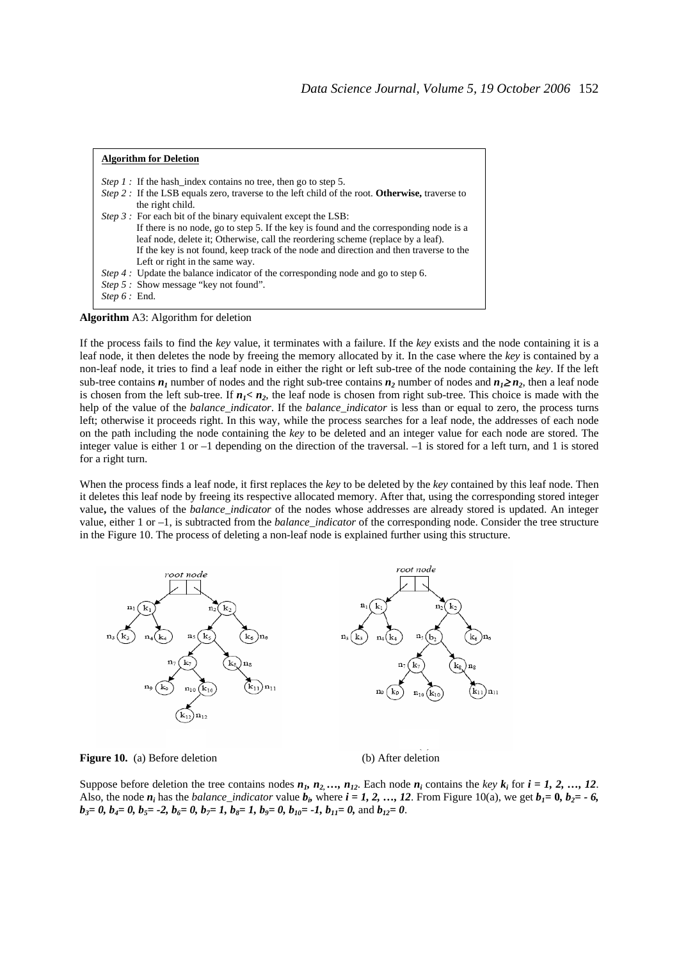| <b>Algorithm for Deletion</b>                                                                                            |
|--------------------------------------------------------------------------------------------------------------------------|
| <i>Step 1</i> : If the hash index contains no tree, then go to step 5.                                                   |
| <i>Step 2</i> : If the LSB equals zero, traverse to the left child of the root. <b>Otherwise</b> , traverse to           |
| the right child.<br><i>Step 3</i> : For each bit of the binary equivalent except the LSB:                                |
| If there is no node, go to step 5. If the key is found and the corresponding node is a                                   |
| leaf node, delete it; Otherwise, call the reordering scheme (replace by a leaf).                                         |
| If the key is not found, keep track of the node and direction and then traverse to the<br>Left or right in the same way. |
| Step 4: Update the balance indicator of the corresponding node and go to step 6.                                         |
| Step 5: Show message "key not found".<br>Step $6:$ End.                                                                  |
|                                                                                                                          |

#### **Algorithm** A3: Algorithm for deletion

If the process fails to find the *key* value, it terminates with a failure. If the *key* exists and the node containing it is a leaf node, it then deletes the node by freeing the memory allocated by it. In the case where the *key* is contained by a non-leaf node, it tries to find a leaf node in either the right or left sub-tree of the node containing the *key*. If the left sub-tree contains  $n_1$  number of nodes and the right sub-tree contains  $n_2$  number of nodes and  $n_1 \ge n_2$ , then a leaf node is chosen from the left sub-tree. If  $n_1 < n_2$ , the leaf node is chosen from right sub-tree. This choice is made with the help of the value of the *balance\_indicator*. If the *balance\_indicator* is less than or equal to zero, the process turns left; otherwise it proceeds right. In this way, while the process searches for a leaf node, the addresses of each node on the path including the node containing the *key* to be deleted and an integer value for each node are stored. The integer value is either 1 or –1 depending on the direction of the traversal. –1 is stored for a left turn, and 1 is stored for a right turn.

When the process finds a leaf node, it first replaces the *key* to be deleted by the *key* contained by this leaf node. Then it deletes this leaf node by freeing its respective allocated memory. After that, using the corresponding stored integer value**,** the values of the *balance\_indicator* of the nodes whose addresses are already stored is updated. An integer value, either 1 or –1, is subtracted from the *balance\_indicator* of the corresponding node. Consider the tree structure in the Figure 10. The process of deleting a non-leaf node is explained further using this structure.



**Figure 10.** (a) Before deletion (b) After deletion

Suppose before deletion the tree contains nodes  $n_1$ ,  $n_2$ , ...,  $n_{12}$ . Each node  $n_i$  contains the *key*  $k_i$  for  $i = 1, 2, ..., 12$ . Also, the node  $n_i$  has the *balance\_indicator* value  $b_i$ , where  $i = 1, 2, ..., 12$ . From Figure 10(a), we get  $b_i = 0$ ,  $b_2 = -6$ ,  $b_3= 0$ ,  $b_4= 0$ ,  $b_5= -2$ ,  $b_6= 0$ ,  $b_7= 1$ ,  $b_8= 1$ ,  $b_9= 0$ ,  $b_{10}= -1$ ,  $b_{11}= 0$ , and  $b_{12}= 0$ .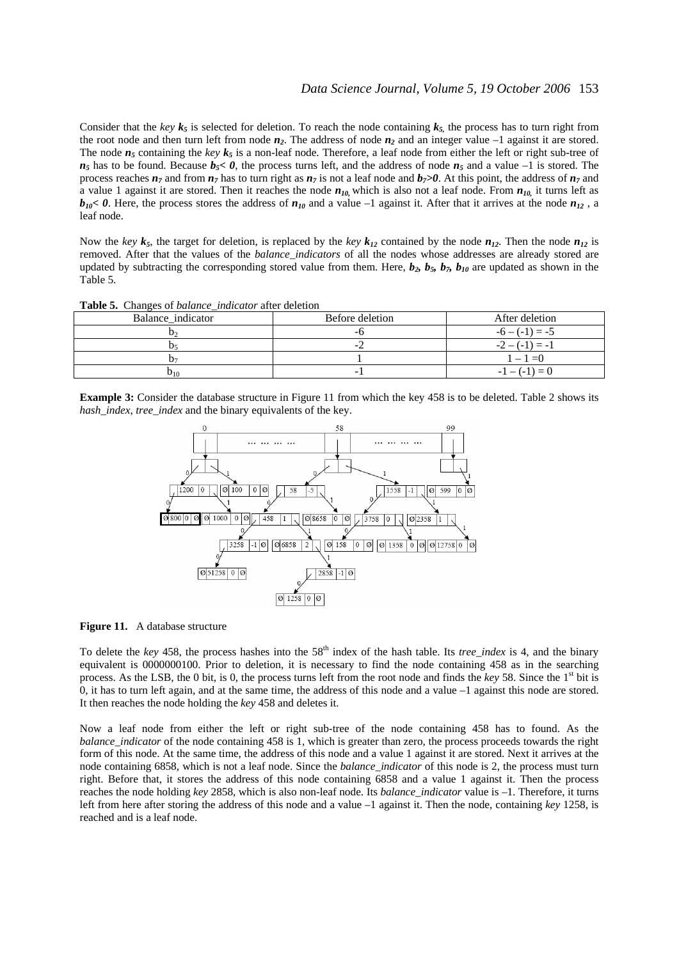Consider that the *key*  $k_5$  is selected for deletion. To reach the node containing  $k_5$ , the process has to turn right from the root node and then turn left from node  $n_2$ . The address of node  $n_2$  and an integer value  $-1$  against it are stored. The node  $n_5$  containing the *key*  $k_5$  is a non-leaf node. Therefore, a leaf node from either the left or right sub-tree of  $n_5$  has to be found. Because  $b_5$ < 0, the process turns left, and the address of node  $n_5$  and a value –1 is stored. The process reaches  $n_7$  and from  $n_7$  has to turn right as  $n_7$  is not a leaf node and  $b_7$ >0. At this point, the address of  $n_7$  and a value 1 against it are stored. Then it reaches the node  $n_{10}$  which is also not a leaf node. From  $n_{10}$  it turns left as  $b_{10}$ < 0. Here, the process stores the address of  $n_{10}$  and a value –1 against it. After that it arrives at the node  $n_{12}$ , a leaf node.

Now the *key*  $k_5$ , the target for deletion, is replaced by the *key*  $k_{12}$  contained by the node  $n_{12}$ . Then the node  $n_{12}$  is removed. After that the values of the *balance\_indicators* of all the nodes whose addresses are already stored are updated by subtracting the corresponding stored value from them. Here,  $b_2$ ,  $b_5$ ,  $b_7$ ,  $b_{10}$  are updated as shown in the Table 5.

| Balance indicator | Before deletion | After deletion   |
|-------------------|-----------------|------------------|
|                   |                 | $-6 - (-1) = -5$ |
| D۵                | - -             | $-2-$            |
| ٦.                |                 | l – I = U        |
| 010               |                 | - 1              |

**Example 3:** Consider the database structure in Figure 11 from which the key 458 is to be deleted. Table 2 shows its *hash\_index*, *tree\_index* and the binary equivalents of the key.



**Figure 11.** A database structure

To delete the *key* 458, the process hashes into the 58<sup>th</sup> index of the hash table. Its *tree\_index* is 4, and the binary equivalent is 0000000100. Prior to deletion, it is necessary to find the node containing 458 as in the searching process. As the LSB, the 0 bit, is 0, the process turns left from the root node and finds the *key* 58. Since the 1st bit is 0, it has to turn left again, and at the same time, the address of this node and a value –1 against this node are stored. It then reaches the node holding the *key* 458 and deletes it.

Now a leaf node from either the left or right sub-tree of the node containing 458 has to found. As the *balance\_indicator* of the node containing 458 is 1, which is greater than zero, the process proceeds towards the right form of this node. At the same time, the address of this node and a value 1 against it are stored. Next it arrives at the node containing 6858, which is not a leaf node. Since the *balance\_indicator* of this node is 2, the process must turn right. Before that, it stores the address of this node containing 6858 and a value 1 against it. Then the process reaches the node holding *key* 2858, which is also non-leaf node. Its *balance indicator* value is –1. Therefore, it turns left from here after storing the address of this node and a value –1 against it. Then the node, containing *key* 1258, is reached and is a leaf node.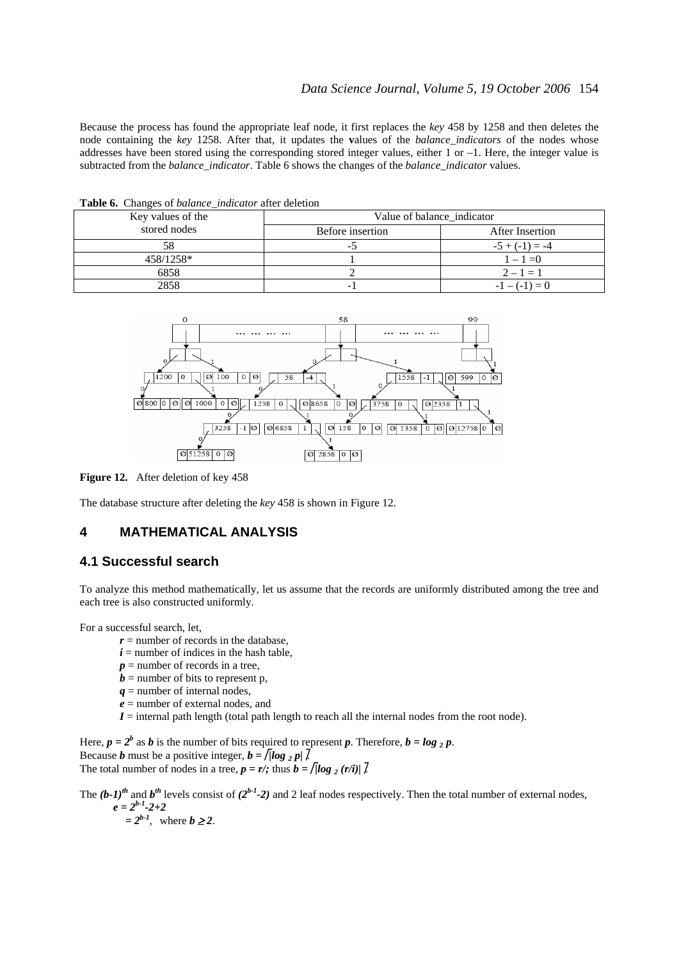Because the process has found the appropriate leaf node, it first replaces the *key* 458 by 1258 and then deletes the node containing the *key* 1258. After that, it updates the **v**alues of the *balance\_indicators* of the nodes whose addresses have been stored using the corresponding stored integer values, either 1 or –1. Here, the integer value is subtracted from the *balance\_indicator*. Table 6 shows the changes of the *balance\_indicator* values.

| Key values of the | Value of balance_indicator |                  |
|-------------------|----------------------------|------------------|
| stored nodes      | Before insertion           | After Insertion  |
|                   |                            | $-5 + (-1) = -4$ |
| 458/1258*         |                            | $1 - 1 = 0$      |
| 6858              |                            | $2 - 1 = 1$      |
| 2858              |                            | $-1 - (-1) = 0$  |

**Table 6.** Changes of *balance\_indicator* after deletion



**Figure 12.** After deletion of key 458

The database structure after deleting the *key* 458 is shown in Figure 12.

# **4 MATHEMATICAL ANALYSIS**

#### **4.1 Successful search**

To analyze this method mathematically, let us assume that the records are uniformly distributed among the tree and each tree is also constructed uniformly.

For a successful search, let,

- $r =$  number of records in the database.
- $i =$  number of indices in the hash table,
- $p =$  number of records in a tree,
- $\mathbf{b}$  = number of bits to represent p,
- *q* = number of internal nodes,
- $\vec{e}$  = number of external nodes, and
- $I =$  internal path length (total path length to reach all the internal nodes from the root node).

Here,  $p = 2^b$  as *b* is the number of bits required to represent *p*. Therefore,  $b = \log_2 p$ . Because *b* must be a positive integer,  $b = \sqrt{|\log_2 p|}$ . The total number of nodes in a tree,  $p = r/$ ; thus  $b = \sqrt{|\log_2 (r/i)|}$ .

The  $(b-1)^{th}$  and  $b^{th}$  levels consist of  $(2^{b-1}-2)$  and 2 leaf nodes respectively. Then the total number of external nodes,  $e = 2^{b-1}-2+2$  $= 2^{b-1}$ , where  $b \ge 2$ .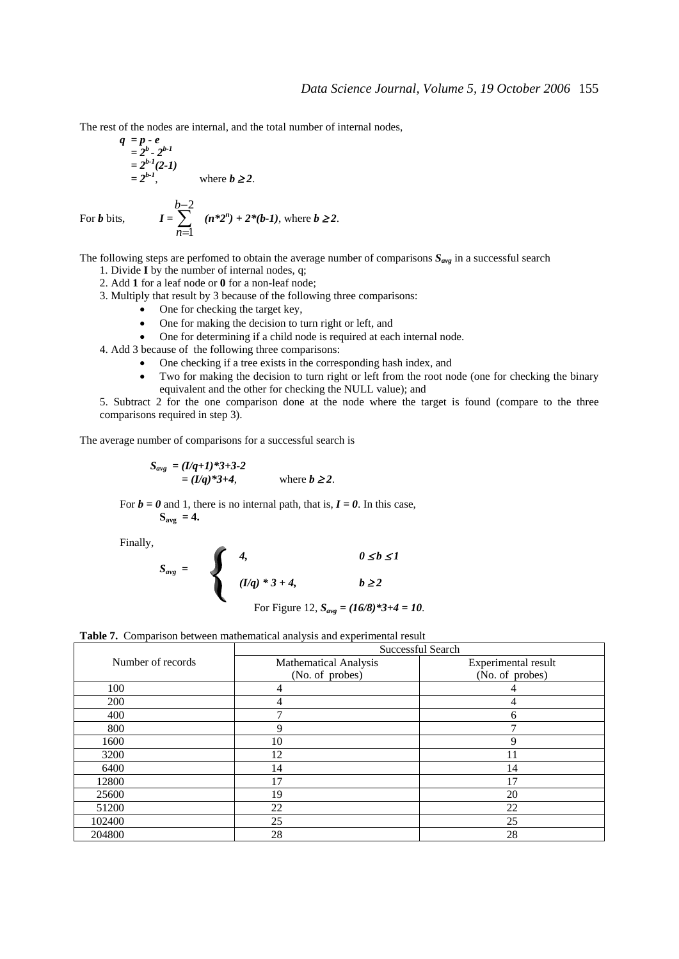The rest of the nodes are internal, and the total number of internal nodes,

$$
q = p - e
$$
  
= 2<sup>b</sup> - 2<sup>b-1</sup>  
= 2<sup>b-1</sup>(2-1)  
= 2<sup>b-1</sup>, where  $b \ge 2$ .

For *b* bits,

$$
I = \sum_{n=1}^{b-2} (n^*2^n) + 2^*(b-1), \text{ where } b \ge 2.
$$

The following steps are perfomed to obtain the average number of comparisons  $S_{avg}$  in a successful search

- 1. Divide **I** by the number of internal nodes, q;
- 2. Add **1** for a leaf node or **0** for a non-leaf node;
- 3. Multiply that result by 3 because of the following three comparisons:
	- One for checking the target key,
	- One for making the decision to turn right or left, and
	- One for determining if a child node is required at each internal node.
- 4. Add 3 because of the following three comparisons:
	- One checking if a tree exists in the corresponding hash index, and
	- Two for making the decision to turn right or left from the root node (one for checking the binary equivalent and the other for checking the NULL value); and

5. Subtract 2 for the one comparison done at the node where the target is found (compare to the three comparisons required in step 3).

The average number of comparisons for a successful search is

$$
S_{avg} = (I/q+1)*3+3-2
$$
  
= (I/q)\*3+4, where  $b \ge 2$ .

For  $\mathbf{b} = \mathbf{0}$  and 1, there is no internal path, that is,  $\mathbf{I} = \mathbf{0}$ . In this case,  $S_{\text{avg}} = 4.$ 

Finally,

Finally,  
\n
$$
S_{avg} = \begin{cases}\n4, & 0 \le b \le 1 \\
(I/q) * 3 + 4, & b \ge 2\n\end{cases}
$$
\nFor Figure 12,  $S_{avg} = (16/8)^*3 + 4 = 10$ .

|  |  |  |  |  | Table 7. Comparison between mathematical analysis and experimental result |
|--|--|--|--|--|---------------------------------------------------------------------------|
|--|--|--|--|--|---------------------------------------------------------------------------|

|                   | Successful Search            |                     |  |  |
|-------------------|------------------------------|---------------------|--|--|
| Number of records | <b>Mathematical Analysis</b> | Experimental result |  |  |
|                   | (No. of probes)              | (No. of probes)     |  |  |
| 100               | 4                            |                     |  |  |
| 200               | 4                            | 4                   |  |  |
| 400               | $\mathbf{r}$                 | 6                   |  |  |
| 800               | 9                            |                     |  |  |
| 1600              | 10                           | 9                   |  |  |
| 3200              | 12                           | 11                  |  |  |
| 6400              | 14                           | 14                  |  |  |
| 12800             | 17                           | 17                  |  |  |
| 25600             | 19                           | 20                  |  |  |
| 51200             | 22                           | 22                  |  |  |
| 102400            | 25                           | 25                  |  |  |
| 204800            | 28                           | 28                  |  |  |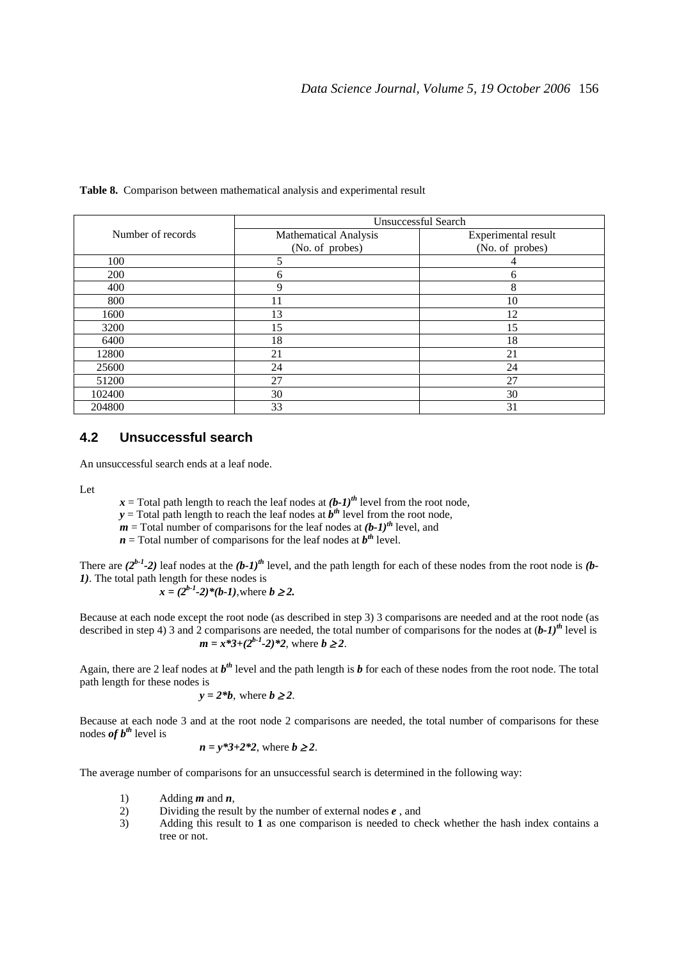|                   | Unsuccessful Search                             |                                        |  |  |
|-------------------|-------------------------------------------------|----------------------------------------|--|--|
| Number of records | <b>Mathematical Analysis</b><br>(No. of probes) | Experimental result<br>(No. of probes) |  |  |
| 100               | 5                                               |                                        |  |  |
| 200               | 6                                               | 6                                      |  |  |
| 400               | 9                                               | 8                                      |  |  |
| 800               | 11                                              | 10                                     |  |  |
| 1600              | 13                                              | 12                                     |  |  |
| 3200              | 15                                              | 15                                     |  |  |
| 6400              | 18                                              | 18                                     |  |  |
| 12800             | 21                                              | 21                                     |  |  |
| 25600             | 24                                              | 24                                     |  |  |
| 51200             | 27                                              | 27                                     |  |  |
| 102400            | 30                                              | 30                                     |  |  |
| 204800            | 33                                              | 31                                     |  |  |

**Table 8.** Comparison between mathematical analysis and experimental result

## **4.2 Unsuccessful search**

An unsuccessful search ends at a leaf node.

Let

 $x =$  Total path length to reach the leaf nodes at  $(b-1)^{th}$  level from the root node,

 $y =$ Total path length to reach the leaf nodes at  $b<sup>th</sup>$  level from the root node,

 $m =$ Total number of comparisons for the leaf nodes at  $(b-1)^{th}$  level, and

 $n =$ Total number of comparisons for the leaf nodes at  $b<sup>th</sup>$  level.

There are  $(2^{b-1}-2)$  leaf nodes at the  $(b-1)^{th}$  level, and the path length for each of these nodes from the root node is  $(b-1)^{th}$ *1)*. The total path length for these nodes is

$$
x = (2^{b-1}-2)^*(b-1)
$$
, where  $b \ge 2$ .

Because at each node except the root node (as described in step 3) 3 comparisons are needed and at the root node (as described in step 4) 3 and 2 comparisons are needed, the total number of comparisons for the nodes at  $(b-1)^{th}$  level is  $m = x^*3+(2^{b-1}-2)^*2$ , where  $b \ge 2$ .

Again, there are 2 leaf nodes at  $b<sup>th</sup>$  level and the path length is  $b$  for each of these nodes from the root node. The total path length for these nodes is

$$
y = 2 * b
$$
, where  $b \ge 2$ .

Because at each node 3 and at the root node 2 comparisons are needed, the total number of comparisons for these nodes *of*  $b^{th}$  level is

$$
n = y*3+2*2
$$
, where  $b \ge 2$ .

The average number of comparisons for an unsuccessful search is determined in the following way:

- 1) Adding *m* and *n*,
- 2) Dividing the result by the number of external nodes *e* , and
- 3) Adding this result to **1** as one comparison is needed to check whether the hash index contains a tree or not.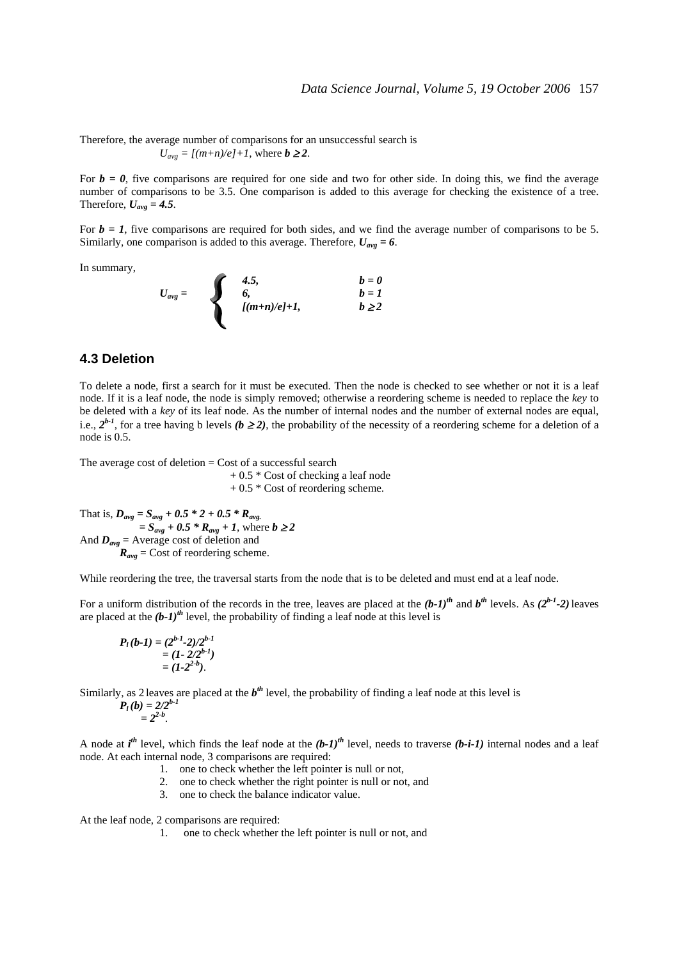Therefore, the average number of comparisons for an unsuccessful search is  $U_{avg} = [(m+n)/e] + 1$ , where  $\boldsymbol{b} \geq 2$ .

For  $b = 0$ , five comparisons are required for one side and two for other side. In doing this, we find the average number of comparisons to be 3.5. One comparison is added to this average for checking the existence of a tree. Therefore,  $U_{\text{ave}} = 4.5$ .

For  $b = 1$ , five comparisons are required for both sides, and we find the average number of comparisons to be 5. Similarly, one comparison is added to this average. Therefore,  $U_{avg} = 6$ .

In summary,

$$
U_{avg} = \begin{cases}\n4.5, & b = 0 \\
6, & b = 1 \\
[(m+n)/e] + 1, & b \ge 2\n\end{cases}
$$

## **4.3 Deletion**

To delete a node, first a search for it must be executed. Then the node is checked to see whether or not it is a leaf node. If it is a leaf node, the node is simply removed; otherwise a reordering scheme is needed to replace the *key* to be deleted with a *key* of its leaf node. As the number of internal nodes and the number of external nodes are equal, i.e.,  $2^{b-1}$ , for a tree having b levels ( $b \ge 2$ ), the probability of the necessity of a reordering scheme for a deletion of a node is 0.5.

The average cost of deletion  $=$  Cost of a successful search

 + 0.5 \* Cost of checking a leaf node + 0.5 \* Cost of reordering scheme.

That is,  $D_{avg} = S_{avg} + 0.5 * 2 + 0.5 * R_{avg}$ .  $= S_{avg} + 0.5 * R_{avg} + 1$ , where  $b \ge 2$ And  $D_{avg}$  = Average cost of deletion and  $\mathbf{R}_{\text{avg}} = \overrightarrow{\text{Cost}}$  of reordering scheme.

While reordering the tree, the traversal starts from the node that is to be deleted and must end at a leaf node.

For a uniform distribution of the records in the tree, leaves are placed at the  $(b-1)^{th}$  and  $b^{th}$  levels. As  $(2^{b-1}-2)$  leaves are placed at the  $(b-1)$ <sup>th</sup> level, the probability of finding a leaf node at this level is

$$
P_1(b-1) = (2^{b-1}-2)/2^{b-1}
$$
  
= (1-2/2<sup>b-1</sup>)  
= (1-2<sup>2-b</sup>).

Similarly, as 2 leaves are placed at the  $b<sup>th</sup>$  level, the probability of finding a leaf node at this level is

$$
P_l(b) = \frac{2}{2^{b-l}} = 2^{2-b}.
$$

A node at  $i^{\text{th}}$  level, which finds the leaf node at the  $(b-1)^{\text{th}}$  level, needs to traverse  $(b-i-1)$  internal nodes and a leaf node. At each internal node, 3 comparisons are required:

- 1. one to check whether the left pointer is null or not,
- 2. one to check whether the right pointer is null or not, and
- 3. one to check the balance indicator value.

At the leaf node, 2 comparisons are required:

1. one to check whether the left pointer is null or not, and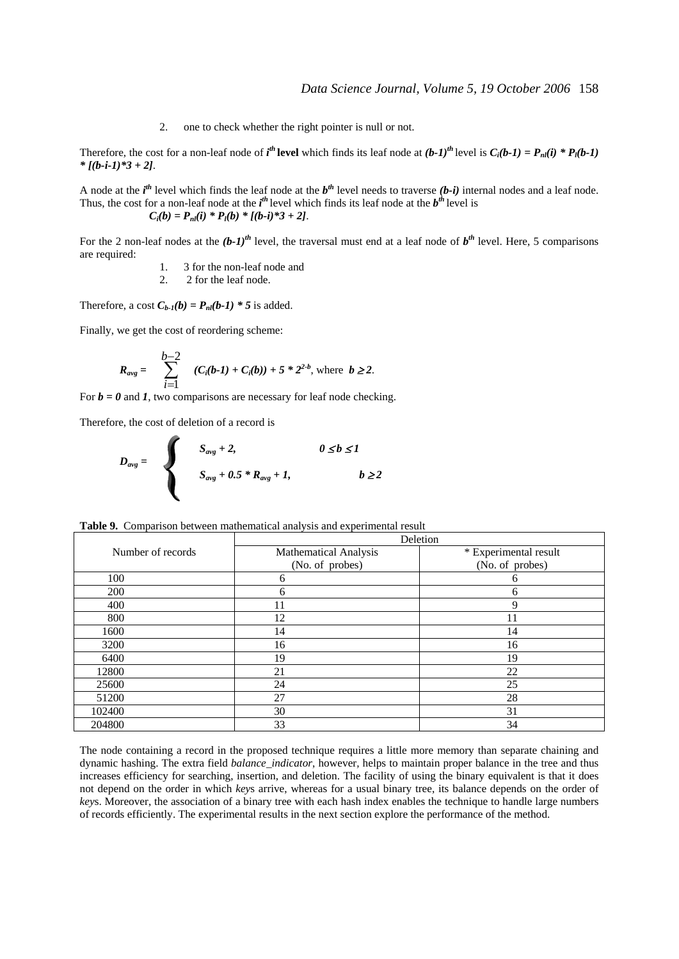2. one to check whether the right pointer is null or not.

Therefore, the cost for a non-leaf node of  $\mathbf{i}^{th}$  level which finds its leaf node at  $(b-1)^{th}$  level is  $C_i(b-1) = P_{nl}(i) * P_l(b-1)$ *\* [(b-i-1)\*3 + 2]*.

A node at the  $i^{\text{th}}$  level which finds the leaf node at the  $b^{\text{th}}$  level needs to traverse  $(b-i)$  internal nodes and a leaf node. Thus, the cost for a non-leaf node at the  $i^h$  level which finds its leaf node at the  $b^h$  level is  $C_i(b) = P_{nl}(i) * P_l(b) * [(b-i)*3 + 2].$ 

For the 2 non-leaf nodes at the  $(b-1)^{th}$  level, the traversal must end at a leaf node of  $b^{th}$  level. Here, 5 comparisons are required:

- 1. 3 for the non-leaf node and
- 2. 2 for the leaf node.

Therefore, a cost  $C_{b-1}(b) = P_{nl}(b-1) * 5$  is added.

Finally, we get the cost of reordering scheme:

$$
R_{avg} = \sum_{i=1}^{b-2} (C_i(b-1) + C_i(b)) + 5 * 2^{2-b}, \text{ where } b \ge 2.
$$

For  $\mathbf{b} = \mathbf{0}$  and  $\mathbf{I}$ , two comparisons are necessary for leaf node checking.

Therefore, the cost of deletion of a record is

$$
D_{avg} = \begin{cases} S_{avg} + 2, & 0 \leq b \leq 1 \\ S_{avg} + 0.5 * R_{avg} + 1, & b \geq 2 \end{cases}
$$

|  |  |  |  |  | <b>Table 9.</b> Comparison between mathematical analysis and experimental result |
|--|--|--|--|--|----------------------------------------------------------------------------------|
|--|--|--|--|--|----------------------------------------------------------------------------------|

|                   | Deletion                     |                       |
|-------------------|------------------------------|-----------------------|
| Number of records | <b>Mathematical Analysis</b> | * Experimental result |
|                   | (No. of probes)              | (No. of probes)       |
| 100               | 6                            | 6                     |
| 200               | 6                            | 6                     |
| 400               | 11                           | 9                     |
| 800               | 12                           | 11                    |
| 1600              | 14                           | 14                    |
| 3200              | 16                           | 16                    |
| 6400              | 19                           | 19                    |
| 12800             | 21                           | 22                    |
| 25600             | 24                           | 25                    |
| 51200             | 27                           | 28                    |
| 102400            | 30                           | 31                    |
| 204800            | 33                           | 34                    |

The node containing a record in the proposed technique requires a little more memory than separate chaining and dynamic hashing. The extra field *balance\_indicator*, however*,* helps to maintain proper balance in the tree and thus increases efficiency for searching, insertion, and deletion. The facility of using the binary equivalent is that it does not depend on the order in which *key*s arrive, whereas for a usual binary tree, its balance depends on the order of *key*s. Moreover, the association of a binary tree with each hash index enables the technique to handle large numbers of records efficiently. The experimental results in the next section explore the performance of the method.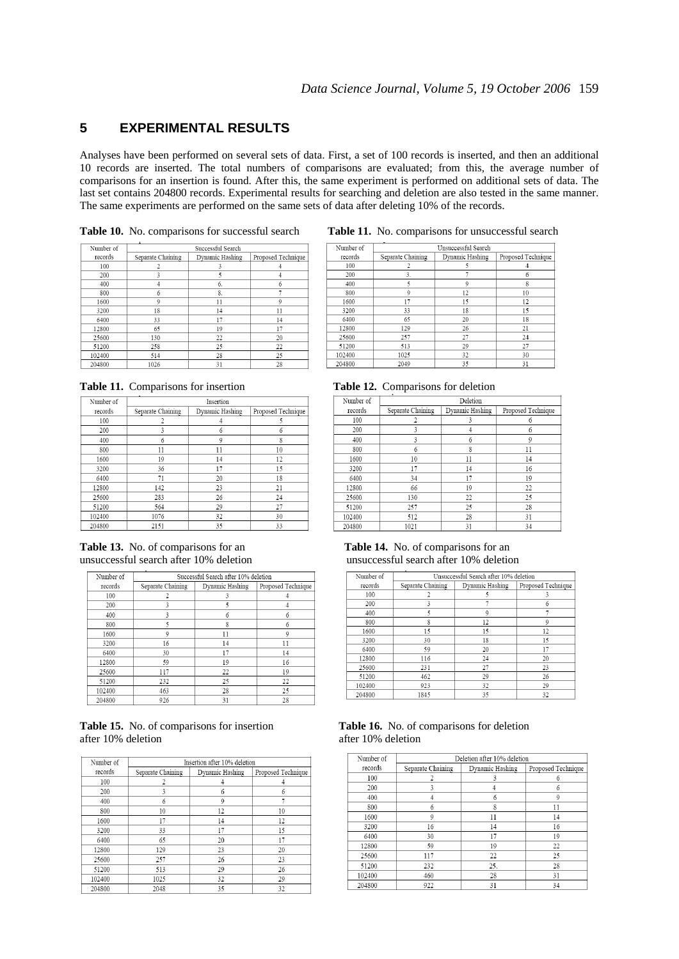# **5 EXPERIMENTAL RESULTS**

Analyses have been performed on several sets of data. First, a set of 100 records is inserted, and then an additional 10 records are inserted. The total numbers of comparisons are evaluated; from this, the average number of comparisons for an insertion is found. After this, the same experiment is performed on additional sets of data. The last set contains 204800 records. Experimental results for searching and deletion are also tested in the same manner. The same experiments are performed on the same sets of data after deleting 10% of the records.

| Number of | Successful Search |                 |                    |  |
|-----------|-------------------|-----------------|--------------------|--|
| records   | Separate Chaining | Dynamic Hashing | Proposed Technique |  |
| 100       |                   | 3               |                    |  |
| 200       | 3                 | 5               | $\overline{4}$     |  |
| 400       |                   | 6.              | 6                  |  |
| 800       | 6                 | 8.              | 7                  |  |
| 1600      | 9                 | 11              | 9                  |  |
| 3200      | 18                | 14              | 11                 |  |
| 6400      | 33                | 17              | 14                 |  |
| 12800     | 65                | 19              | 17                 |  |
| 25600     | 130               | 22              | 20                 |  |
| 51200     | 258               | 25              | 22                 |  |
| 102400    | 514               | 28              | 25                 |  |
| 204800    | 1026              | 31              | 28                 |  |

Table 10. No. comparisons for successful search **Table 11.** No. comparisons for unsuccessful search

| <b>Table 11.</b> Comparisons for insertion |  |  |  |
|--------------------------------------------|--|--|--|

| Number of | Insertion         |                 |                    |
|-----------|-------------------|-----------------|--------------------|
| records   | Separate Chaining | Dynamic Hashing | Proposed Technique |
| 100       | 2                 | 4               | 5                  |
| 200       | 3                 | 6               | 6                  |
| 400       | 6                 | 9               | 8                  |
| 800       | 11                | 11              | 10                 |
| 1600      | 19                | 14              | 12                 |
| 3200      | 36                | 17              | 15                 |
| 6400      | 71                | 20              | 18                 |
| 12800     | 142               | 23              | 21                 |
| 25600     | 283               | 26              | 24                 |
| 51200     | 564               | 29              | 27                 |
| 102400    | 1076              | 32              | 30                 |
| 204800    | 2151              | 35              | 33                 |

| Number of | Successful Search after 10% deletion |                 |                    |
|-----------|--------------------------------------|-----------------|--------------------|
| records   | Separate Chaining                    | Dynamic Hashing | Proposed Technique |
| 100       |                                      | 3               |                    |
| 200       | 3                                    | 5               | 4                  |
| 400       | 3                                    | 6               | 6                  |
| 800       | 5                                    | 8               | 6                  |
| 1600      | 9                                    | 11              | 9                  |
| 3200      | 16                                   | 14              | 11                 |
| 6400      | 30                                   | 17              | 14                 |
| 12800     | 59                                   | 19              | 16                 |
| 25600     | 117                                  | 22              | 19                 |
| 51200     | 232                                  | 25              | 22                 |
| 102400    | 463                                  | 28              | 25                 |
| 204800    | 926                                  | 31              | 28                 |

|                    | Table 15. No. of comparisons for insertion |  |
|--------------------|--------------------------------------------|--|
| after 10% deletion |                                            |  |

| Number of | Insertion after 10% deletion |                 |                    |  |
|-----------|------------------------------|-----------------|--------------------|--|
| records   | Separate Chaining            | Dynamic Hashing | Proposed Technique |  |
| 100       | 2                            | 4               | 4                  |  |
| 200       | 3                            | 6               | 6                  |  |
| 400       | 6                            | 9               | 7                  |  |
| 800       | 10                           | 12              | 10                 |  |
| 1600      | 17                           | 14              | 12                 |  |
| 3200      | 33                           | 17              | 15                 |  |
| 6400      | 65                           | 20              | 17                 |  |
| 12800     | 129                          | 23              | 20                 |  |
| 25600     | 257                          | 26              | 23                 |  |
| 51200     | 513                          | 29              | 26                 |  |
| 102400    | 1025                         | 32              | 29                 |  |
| 204800    | 2048                         | 35              | 32                 |  |

| Number of | Unsuccessful Search |                 |                    |
|-----------|---------------------|-----------------|--------------------|
| records   | Separate Chaining   | Dynamic Hashing | Proposed Technique |
| 100       |                     | 5               |                    |
| 200       | 3.                  | 7               | 6                  |
| 400       | 5                   | 9               | 8                  |
| 800       | 9                   | 12              | 10                 |
| 1600      | 17                  | 15              | 12                 |
| 3200      | 33                  | 18              | 15                 |
| 6400      | 65                  | 20              | 18                 |
| 12800     | 129                 | 26              | 21                 |
| 25600     | 257                 | 27              | 24                 |
| 51200     | 513                 | 29              | 27                 |
| 102400    | 1025                | 32              | 30                 |
| 204800    | 2049                | 35              | 31                 |

Table 12. Comparisons for deletion

| Number of | Deletion          |                 |                    |  |
|-----------|-------------------|-----------------|--------------------|--|
| records   | Separate Chaining | Dynamic Hashing | Proposed Technique |  |
| 100       |                   | 3               | 6                  |  |
| 200       | 3                 | 4               | 6                  |  |
| 400       | 3                 | 6               | 9                  |  |
| 800       | 6                 | 8               | 11                 |  |
| 1600      | 10                | 11              | 14                 |  |
| 3200      | 17                | 14              | 16                 |  |
| 6400      | 34                | 17              | 19                 |  |
| 12800     | 66                | 19              | 22                 |  |
| 25600     | 130               | 22              | 25                 |  |
| 51200     | 257               | 25              | 28                 |  |
| 102400    | 512               | 28              | 31                 |  |
| 204800    | 1021              | 31              | 34                 |  |

#### **Table 13.** No. of comparisons for an **Table 14.** No. of comparisons for an unsuccessful search after 10% deletion unsuccessful search after 10% deletion

| Number of | ۰.<br>Unsuccessful Search after 10% deletion |                 |                    |
|-----------|----------------------------------------------|-----------------|--------------------|
| records   | Separate Chaining                            | Dynamic Hashing | Proposed Technique |
| 100       |                                              |                 |                    |
| 200       | 3                                            |                 | 6                  |
| 400       | 5                                            | $\mathbf Q$     |                    |
| 800       | 8                                            | 12              | 9                  |
| 1600      | 15                                           | 15              | 12                 |
| 3200      | 30                                           | 18              | 15                 |
| 6400      | 59                                           | 20              | 17                 |
| 12800     | 116                                          | 24              | 20                 |
| 25600     | 231                                          | 27              | 23                 |
| 51200     | 462                                          | 29              | 26                 |
| 102400    | 923                                          | 32              | 29                 |
| 204800    | 1845                                         | 35              | 32                 |

#### Table 16. No. of comparisons for deletion after 10% deletion

| Number of | Deletion after 10% deletion |                 |                    |
|-----------|-----------------------------|-----------------|--------------------|
| records   | Separate Chaining           | Dynamic Hashing | Proposed Technique |
| 100       | $\overline{c}$              | 3               | 6                  |
| 200       | 3                           |                 | 6                  |
| 400       | $\overline{4}$              | 6               | 9                  |
| 800       | 6                           | 8               | 11                 |
| 1600      | 9                           | 11              | 14                 |
| 3200      | 16                          | 14              | 16                 |
| 6400      | 30                          | 17              | 19                 |
| 12800     | 59                          | 19              | 22                 |
| 25600     | 117                         | 22              | 25                 |
| 51200     | 232                         | 25.             | 28                 |
| 102400    | 460                         | 28              | 31                 |
| 204800    | 922                         | 31              | 34                 |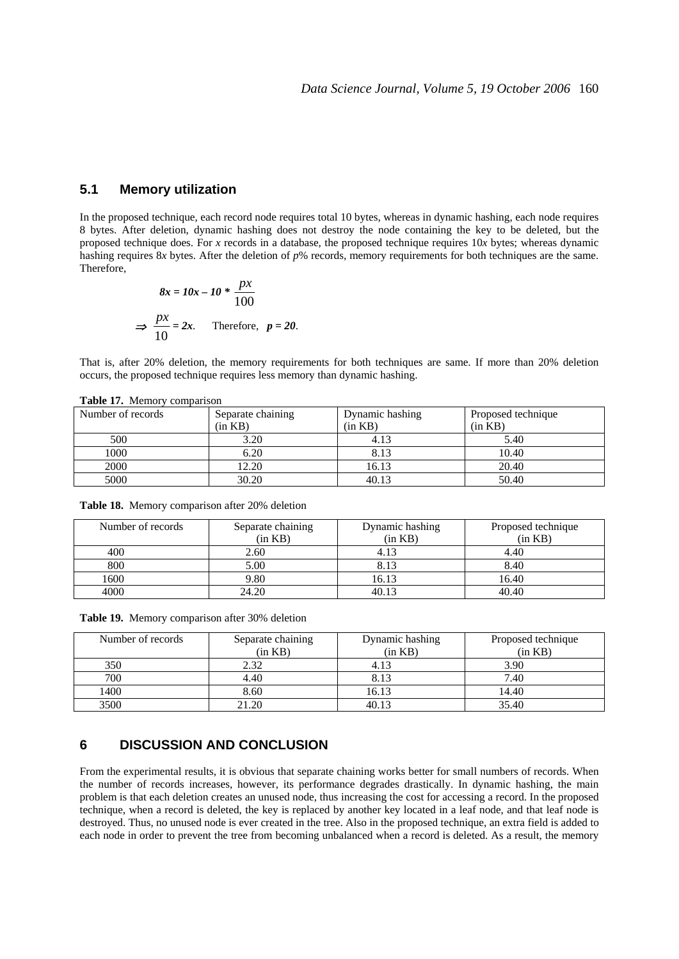#### **5.1 Memory utilization**

In the proposed technique, each record node requires total 10 bytes, whereas in dynamic hashing, each node requires 8 bytes. After deletion, dynamic hashing does not destroy the node containing the key to be deleted, but the proposed technique does. For *x* records in a database, the proposed technique requires 10*x* bytes; whereas dynamic hashing requires 8*x* bytes. After the deletion of *p*% records, memory requirements for both techniques are the same. Therefore,

$$
8x = 10x - 10 * \frac{px}{100}
$$
  
\n
$$
\Rightarrow \frac{px}{10} = 2x.
$$
 Therefore,  $p = 20$ .

That is, after 20% deletion, the memory requirements for both techniques are same. If more than 20% deletion occurs, the proposed technique requires less memory than dynamic hashing.

| Number of records | Separate chaining | Dynamic hashing | Proposed technique |
|-------------------|-------------------|-----------------|--------------------|
|                   | (in KB)           | (in KB)         | (in KB)            |
| 500               | 3.20              | 4.13            | 5.40               |
| 1000              | 6.20              | 8.13            | 10.40              |
| 2000              | 12.20             | 16.13           | 20.40              |
| 5000              | 30.20             | 40.13           | 50.40              |

**Table 17.** Memory comparison

**Table 18.** Memory comparison after 20% deletion

| Number of records | Separate chaining | Dynamic hashing | Proposed technique |
|-------------------|-------------------|-----------------|--------------------|
|                   | (in KB)           | (in KB)         | (in KB)            |
| 400               | 2.60              | 4.13            | 4.40               |
| 800               | 5.00              | 8.13            | 8.40               |
| 1600              | 9.80              | 16.13           | 16.40              |
| 4000              | 24.20             | 40.13           | 40.40              |

**Table 19.** Memory comparison after 30% deletion

| Number of records | Separate chaining | Dynamic hashing | Proposed technique |
|-------------------|-------------------|-----------------|--------------------|
|                   | (in KB)           | (in KB)         | (in KB)            |
| 350               | 2.32              | 4.13            | 3.90               |
| 700               | 4.40              | 8.13            | 7.40               |
| 1400              | 8.60              | 16.13           | 14.40              |
| 3500              | 21.20             | 40.13           | 35.40              |

## **6 DISCUSSION AND CONCLUSION**

From the experimental results, it is obvious that separate chaining works better for small numbers of records. When the number of records increases, however, its performance degrades drastically. In dynamic hashing, the main problem is that each deletion creates an unused node, thus increasing the cost for accessing a record. In the proposed technique, when a record is deleted, the key is replaced by another key located in a leaf node, and that leaf node is destroyed. Thus, no unused node is ever created in the tree. Also in the proposed technique, an extra field is added to each node in order to prevent the tree from becoming unbalanced when a record is deleted. As a result, the memory